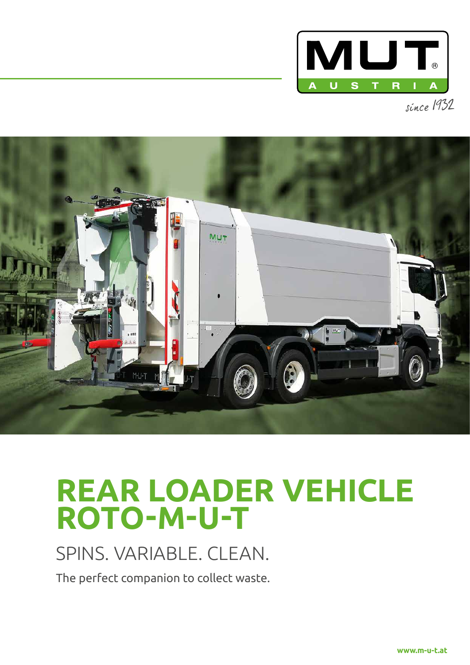

since 1932



# **REAR LOADER VEHICLE ROTO-M-U-T**

## SPINS. VARIABLE. CLEAN.

The perfect companion to collect waste.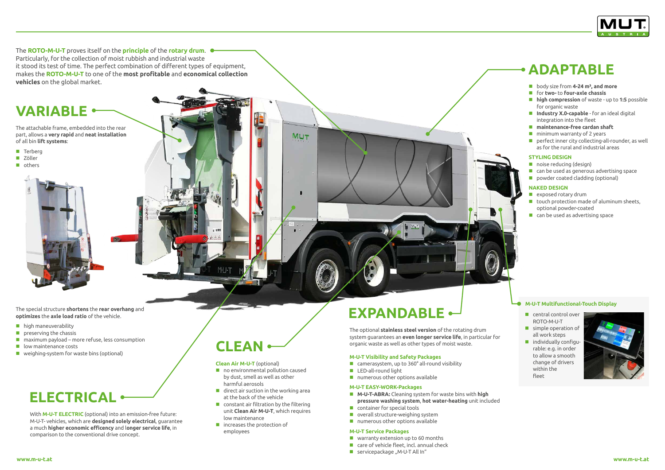The **ROTO-M-U-T** proves itself on the **principle** of the **rotary drum**. Particularly, for the collection of moist rubbish and industrial waste it stood its test of time. The perfect combination of different types of equipment, makes the **ROTO-M-U-T** to one of the **most profitable** and **economical collection vehicles** on the global market.

The attachable frame, embedded into the rear part, allows a **very rapid** and **neat installation** of all bin **lift systems**:

- **Terberg**
- **Zöller**
- others

The special structure **shortens** the **rear overhang** and **optimizes** the **axle load ratio** of the vehicle.

- **high maneuverability**
- $\blacksquare$  preserving the chassis
- $\blacksquare$  maximum payload more refuse, less consumption
- **Lacks** low maintenance costs
- **weighing-system for waste bins (optional)**

- **M-U-T-ABRA:** Cleaning system for waste bins with **high pressure washing system**, **hot water-heating** unit included
- **Container for special tools**
- **D** overall structure-weighing system
- numerous other options available

The optional **stainless steel version** of the rotating drum system guarantees an **even longer service life**, in particular for organic waste as well as other types of moist waste.

### **M-U-T Visibility and Safety Packages**

- camerasystem, up to 360° all-round visibility
- **LED-all-round light**
- **numerous other options available**
- **body size from 4-24 m<sup>3</sup>, and more**
- for **two-** to **four-axle chassis**
- **high compression** of waste up to **1:5** possible for organic waste
- **Industry X.0-capable** for an ideal digital integration into the fleet
- **maintenance-free cardan shaft**
- $\blacksquare$  minimum warranty of 2 years
- **P** perfect inner city collecting-all-rounder, as well as for the rural and industrial areas

### **M-U-T EASY-WORK-Packages**

no environmental pollution caused by dust, smell as well as other harmful aerosols

**MUT** 

- $\blacksquare$  direct air suction in the working area at the back of the vehicle
- **E** constant air filtration by the filtering unit **Clean Air M-U-T**, which requires low maintenance
- $\blacksquare$  increases the protection of employees

### **M-U-T Service Packages**

- **No warranty extension up to 60 months**
- **E** care of vehicle fleet, incl. annual check
- $\blacksquare$  servicepackage "M-U-T All In"
- **C** central control over ROTO-M-U-T
- simple operation of all work steps
- **n** individually configurable: e.g. in order to allow a smooth change of drivers within the fleet



With **M-U-T ELECTRIC** (optional) into an emission-free future: M-U-T- vehicles, which are **designed solely electrical**, guarantee a much **higher economic efficency** and l**onger service life**, in comparison to the conventional drive concept.

### **STYLING DESIGN**

- noise reducing (design)
- can be used as generous advertising space
- **powder coated cladding (optional)**

#### **NAKED DESIGN**

- **E** exposed rotary drum
- $\blacksquare$  touch protection made of aluminum sheets, optional powder-coated
- **E** can be used as advertising space

### **Clean Air M-U-T** (optional)

#### **M-U-T Multifunctional-Touch Display**

# **EXPANDABLE**

# **ELECTRICAL**

## **VARIABLE**

### **ADAPTABLE**

## **CLEAN**